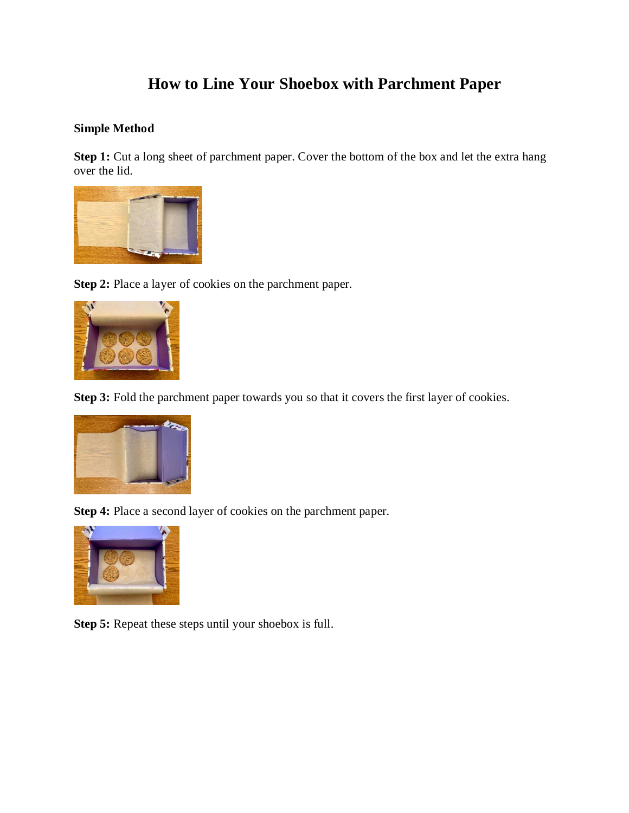## **How to Line Your Shoebox with Parchment Paper**

## **Simple Method**

**Step 1:** Cut a long sheet of parchment paper. Cover the bottom of the box and let the extra hang over the lid.



**Step 2:** Place a layer of cookies on the parchment paper.



**Step 3:** Fold the parchment paper towards you so that it covers the first layer of cookies.



**Step 4:** Place a second layer of cookies on the parchment paper.



**Step 5:** Repeat these steps until your shoebox is full.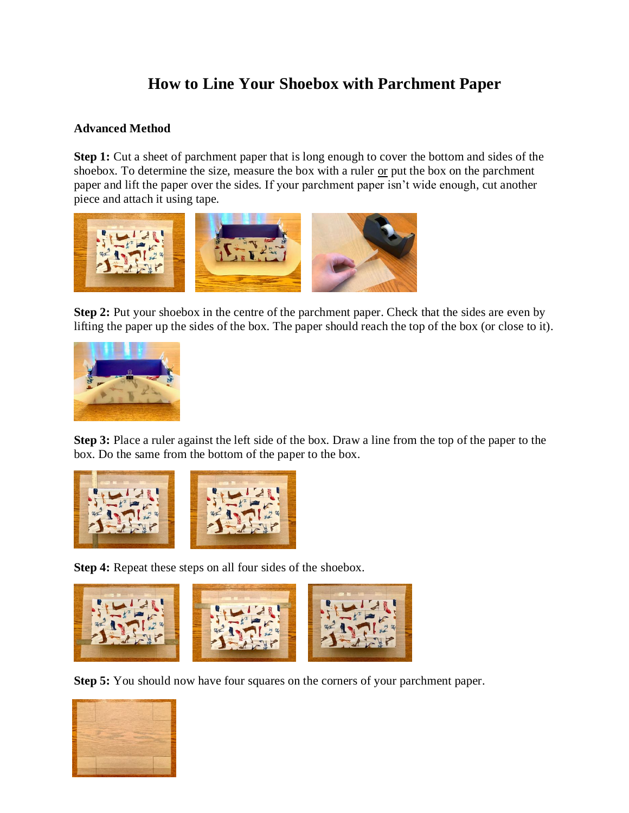## **How to Line Your Shoebox with Parchment Paper**

## **Advanced Method**

**Step 1:** Cut a sheet of parchment paper that is long enough to cover the bottom and sides of the shoebox. To determine the size, measure the box with a ruler or put the box on the parchment paper and lift the paper over the sides. If your parchment paper isn't wide enough, cut another piece and attach it using tape.



**Step 2:** Put your shoebox in the centre of the parchment paper. Check that the sides are even by lifting the paper up the sides of the box. The paper should reach the top of the box (or close to it).



**Step 3:** Place a ruler against the left side of the box. Draw a line from the top of the paper to the box. Do the same from the bottom of the paper to the box.



**Step 4:** Repeat these steps on all four sides of the shoebox.



**Step 5:** You should now have four squares on the corners of your parchment paper.